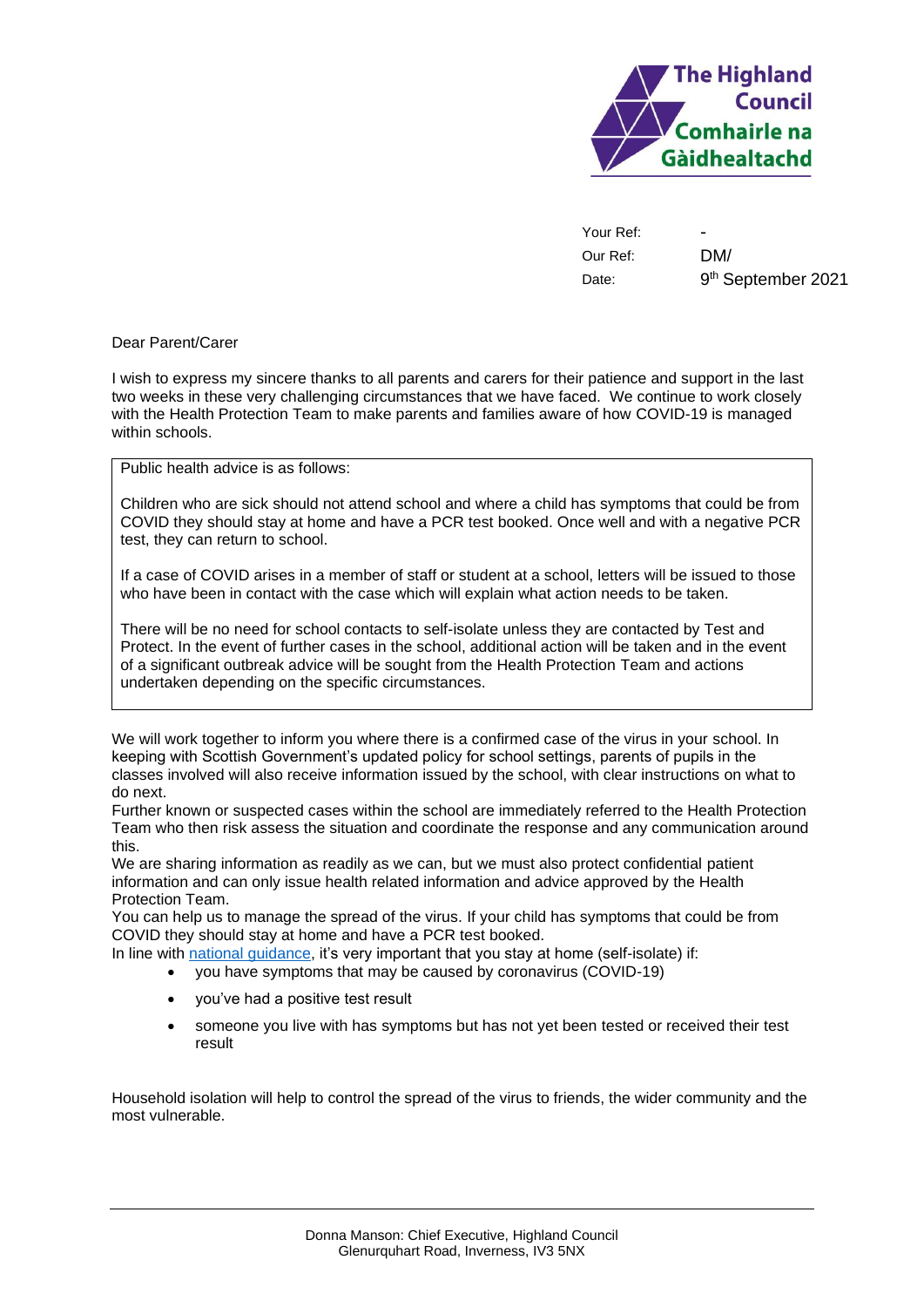

Your Ref: Our Ref: Date:

- DM/ 9 th September 2021

## Dear Parent/Carer

I wish to express my sincere thanks to all parents and carers for their patience and support in the last two weeks in these very challenging circumstances that we have faced. We continue to work closely with the Health Protection Team to make parents and families aware of how COVID-19 is managed within schools.

Public health advice is as follows:

Children who are sick should not attend school and where a child has symptoms that could be from COVID they should stay at home and have a PCR test booked. Once well and with a negative PCR test, they can return to school.

If a case of COVID arises in a member of staff or student at a school, letters will be issued to those who have been in contact with the case which will explain what action needs to be taken.

There will be no need for school contacts to self-isolate unless they are contacted by Test and Protect. In the event of further cases in the school, additional action will be taken and in the event of a significant outbreak advice will be sought from the Health Protection Team and actions undertaken depending on the specific circumstances.

We will work together to inform you where there is a confirmed case of the virus in your school. In keeping with Scottish Government's updated policy for school settings, parents of pupils in the classes involved will also receive information issued by the school, with clear instructions on what to do next.

Further known or suspected cases within the school are immediately referred to the Health Protection Team who then risk assess the situation and coordinate the response and any communication around this.

We are sharing information as readily as we can, but we must also protect confidential patient information and can only issue health related information and advice approved by the Health Protection Team.

You can help us to manage the spread of the virus. If your child has symptoms that could be from COVID they should stay at home and have a PCR test booked.

In line with [national guidance,](https://www.nhsinform.scot/illnesses-and-conditions/infections-and-poisoning/coronavirus-covid-19/test-and-protect/coronavirus-covid-19-guidance-for-households-with-possible-coronavirus-infection) it's very important that you stay at home (self-isolate) if:

• you have symptoms that may be caused by coronavirus (COVID-19)

- you've had a positive test result
- someone you live with has symptoms but has not yet been tested or received their test result

Household isolation will help to control the spread of the virus to friends, the wider community and the most vulnerable.